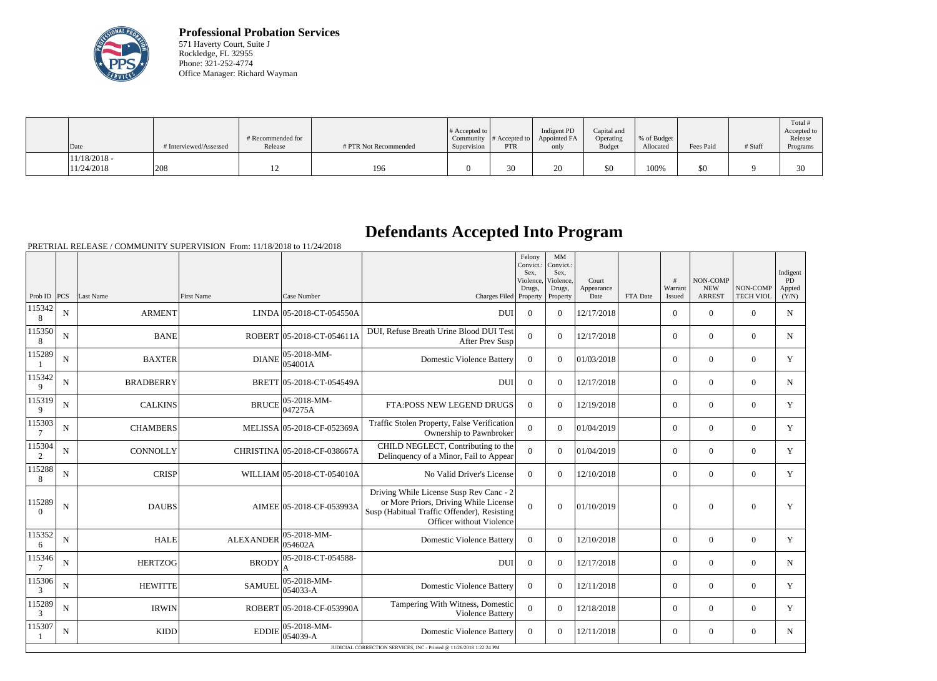

**Professional Probation Services** 571 Haverty Court, Suite J Rockledge, FL 32955 Phone: 321-252-4774 Office Manager: Richard Wayman

| $\vert$ Date                 | # Interviewed/Assessed | # Recommended for<br>Release | # PTR Not Recommended | $\#$ Accepted to $\ $<br>Supervision | Community $ #$ Accepted to $ $<br><b>PTR</b> | Indigent PD<br>Appointed FA<br>only | Capital and<br>Operating<br><b>Budget</b> | % of Budget<br>Allocated | Fees Paid | # Staff | Total<br>Accepted to<br>Release<br>Programs |
|------------------------------|------------------------|------------------------------|-----------------------|--------------------------------------|----------------------------------------------|-------------------------------------|-------------------------------------------|--------------------------|-----------|---------|---------------------------------------------|
| $11/18/2018$ -<br>11/24/2018 | 208                    | ∸                            | 196                   |                                      | 30                                           | ΖU                                  | \$0                                       | 100%                     | \$0       |         | 30<br>υU                                    |

## **Defendants Accepted Into Program**

PRETRIAL RELEASE / COMMUNITY SUPERVISION From: 11/18/2018 to 11/24/2018

|                    |             |                  |                  |                                      |                                                                                                                                                             | Felony<br>Convict.:<br>Sex.<br>Violence<br>Drugs, | $\mathbf{M}\mathbf{M}$<br>Convict.:<br>Sex.<br>Violence,<br>Drugs, | Court<br>Appearance |          | #<br>Warrant   | NON-COMP<br><b>NEW</b> | NON-COMP         | Indigent<br><b>PD</b><br>Appted |
|--------------------|-------------|------------------|------------------|--------------------------------------|-------------------------------------------------------------------------------------------------------------------------------------------------------------|---------------------------------------------------|--------------------------------------------------------------------|---------------------|----------|----------------|------------------------|------------------|---------------------------------|
| Prob ID $ PCS $    |             | Last Name        | First Name       | Case Number                          | Charges Filed Property                                                                                                                                      |                                                   | Property                                                           | Date                | FTA Date | Issued         | <b>ARREST</b>          | <b>TECH VIOL</b> | (Y/N)                           |
| 115342<br>8        | ${\bf N}$   | <b>ARMENT</b>    |                  | LINDA 05-2018-CT-054550A             | <b>DUI</b>                                                                                                                                                  | $\theta$                                          | $\Omega$                                                           | 12/17/2018          |          | $\overline{0}$ | $\overline{0}$         | $\Omega$         | $\mathbf N$                     |
| 115350<br>8        | $\mathbf N$ | <b>BANE</b>      |                  | ROBERT 05-2018-CT-054611A            | DUI, Refuse Breath Urine Blood DUI Test<br>After Prev Susp                                                                                                  | $\overline{0}$                                    | $\Omega$                                                           | 12/17/2018          |          | $\overline{0}$ | $\mathbf{0}$           | $\overline{0}$   | N                               |
| 115289             | ${\bf N}$   | <b>BAXTER</b>    | <b>DIANE</b>     | 05-2018-MM-<br>054001A               | <b>Domestic Violence Battery</b>                                                                                                                            | $\theta$                                          | $\Omega$                                                           | 01/03/2018          |          | $\overline{0}$ | $\theta$               | $\Omega$         | Y                               |
| 115342<br>9        | $\mathbf N$ | <b>BRADBERRY</b> |                  | BRETT 05-2018-CT-054549A             | <b>DUI</b>                                                                                                                                                  | $\boldsymbol{0}$                                  | $\Omega$                                                           | 12/17/2018          |          | $\overline{0}$ | $\theta$               | $\overline{0}$   | $\mathbf N$                     |
| 115319<br>9        | ${\bf N}$   | <b>CALKINS</b>   | <b>BRUCE</b>     | $ 05-2018-MM-$<br>047275A            | FTA:POSS NEW LEGEND DRUGS                                                                                                                                   | $\overline{0}$                                    | $\Omega$                                                           | 12/19/2018          |          | $\overline{0}$ | $\theta$               | $\overline{0}$   | Y                               |
| 115303<br>7        | ${\bf N}$   | <b>CHAMBERS</b>  |                  | MELISSA 05-2018-CF-052369A           | Traffic Stolen Property, False Verification<br>Ownership to Pawnbroker                                                                                      | $\theta$                                          | $\Omega$                                                           | 01/04/2019          |          | $\overline{0}$ | $\mathbf{0}$           | $\overline{0}$   | Y                               |
| 115304<br>2        | N           | CONNOLLY         |                  | CHRISTINA 05-2018-CF-038667A         | CHILD NEGLECT, Contributing to the<br>Delinquency of a Minor, Fail to Appear                                                                                | $\overline{0}$                                    | $\Omega$                                                           | 01/04/2019          |          | $\overline{0}$ | $\theta$               | $\overline{0}$   | Y                               |
| 115288<br>8        | $\mathbf N$ | <b>CRISP</b>     |                  | WILLIAM 05-2018-CT-054010A           | No Valid Driver's License                                                                                                                                   | $\Omega$                                          | $\Omega$                                                           | 12/10/2018          |          | $\overline{0}$ | $\theta$               | $\overline{0}$   | Y                               |
| 115289<br>$\Omega$ | ${\bf N}$   | <b>DAUBS</b>     |                  | AIMEE 05-2018-CF-053993A             | Driving While License Susp Rev Canc - 2<br>or More Priors, Driving While License<br>Susp (Habitual Traffic Offender), Resisting<br>Officer without Violence | $\Omega$                                          | $\Omega$                                                           | 01/10/2019          |          | $\overline{0}$ | $\overline{0}$         | $\mathbf{0}$     | Y                               |
| 115352<br>6        | $\mathbf N$ | <b>HALE</b>      | <b>ALEXANDER</b> | $ 05 - 2018 - MM -$<br>054602A       | <b>Domestic Violence Battery</b>                                                                                                                            | $\theta$                                          | $\Omega$                                                           | 12/10/2018          |          | $\overline{0}$ | $\mathbf{0}$           | $\overline{0}$   | Y                               |
| 115346<br>7        | $\mathbf N$ | <b>HERTZOG</b>   | <b>BRODY</b>     | 05-2018-CT-054588-                   | <b>DU</b>                                                                                                                                                   | $\boldsymbol{0}$                                  | $\Omega$                                                           | 12/17/2018          |          | $\overline{0}$ | $\overline{0}$         | $\overline{0}$   | $\mathbf N$                     |
| 115306<br>3        | N           | <b>HEWITTE</b>   | <b>SAMUEL</b>    | $ 05 - 2018 - MM -$<br>$ 054033 - A$ | <b>Domestic Violence Battery</b>                                                                                                                            | $\Omega$                                          | $\Omega$                                                           | 12/11/2018          |          | $\overline{0}$ | $\theta$               | $\overline{0}$   | Y                               |
| 115289<br>3        | N           | <b>IRWIN</b>     |                  | ROBERT 05-2018-CF-053990A            | Tampering With Witness, Domestic<br>Violence Battery                                                                                                        | $\Omega$                                          | $\Omega$                                                           | 12/18/2018          |          | $\Omega$       | $\Omega$               | $\Omega$         | Y                               |
| 115307             | N           | <b>KIDD</b>      | <b>EDDIE</b>     | 05-2018-MM-<br>054039-A              | <b>Domestic Violence Battery</b>                                                                                                                            | $\theta$                                          | $\Omega$                                                           | 12/11/2018          |          | $\overline{0}$ | $\theta$               | $\overline{0}$   | $\mathbf N$                     |
|                    |             |                  |                  |                                      | JUDICIAL CORRECTION SERVICES, INC - Printed @ 11/26/2018 1:22:24 PM                                                                                         |                                                   |                                                                    |                     |          |                |                        |                  |                                 |